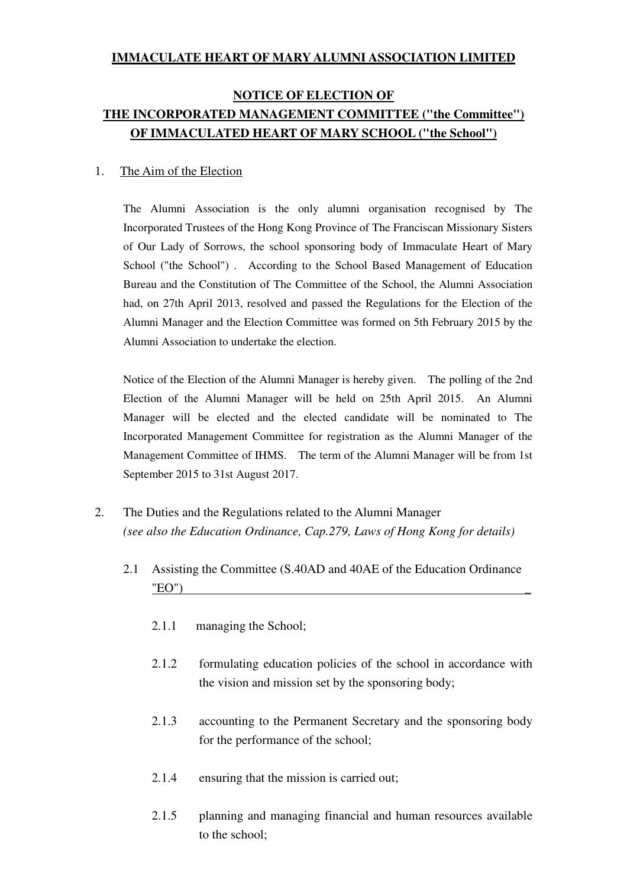#### **IMMACULATE HEART OF MARY ALUMNI ASSOCIATION LIMITED**

## **NOTICE OF ELECTION OF THE INCORPORATED MANAGEMENT COMMITTEE ("the Committee") OF IMMACULATED HEART OF MARY SCHOOL ("the School")**

#### 1. The Aim of the Election

The Alumni Association is the only alumni organisation recognised by The Incorporated Trustees of the Hong Kong Province of The Franciscan Missionary Sisters of Our Lady of Sorrows, the school sponsoring body of Immaculate Heart of Mary School ("the School") . According to the School Based Management of Education Bureau and the Constitution of The Committee of the School, the Alumni Association had, on 27th April 2013, resolved and passed the Regulations for the Election of the Alumni Manager and the Election Committee was formed on 5th February 2015 by the Alumni Association to undertake the election.

Notice of the Election of the Alumni Manager is hereby given. The polling of the 2nd Election of the Alumni Manager will be held on 25th April 2015. An Alumni Manager will be elected and the elected candidate will be nominated to The Incorporated Management Committee for registration as the Alumni Manager of the Management Committee of IHMS. The term of the Alumni Manager will be from 1st September 2015 to 31st August 2017.

- 2. The Duties and the Regulations related to the Alumni Manager *(see also the Education Ordinance, Cap.279, Laws of Hong Kong for details)* 
	- 2.1 Assisting the Committee (S.40AD and 40AE of the Education Ordinance  $"EO"$ )
		- 2.1.1 managing the School;
		- 2.1.2 formulating education policies of the school in accordance with the vision and mission set by the sponsoring body;
		- 2.1.3 accounting to the Permanent Secretary and the sponsoring body for the performance of the school;
		- 2.1.4 ensuring that the mission is carried out;
		- 2.1.5 planning and managing financial and human resources available to the school;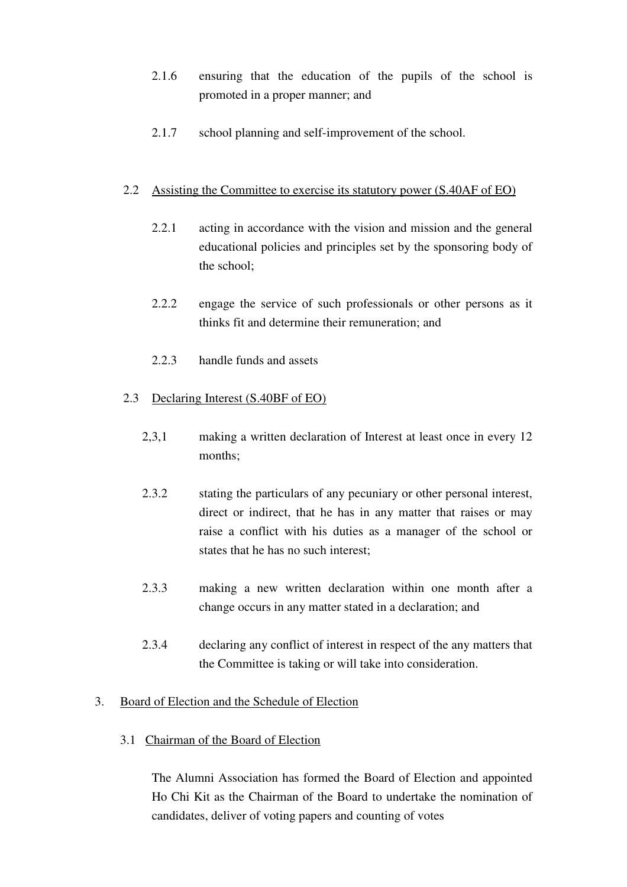- 2.1.6 ensuring that the education of the pupils of the school is promoted in a proper manner; and
- 2.1.7 school planning and self-improvement of the school.

### 2.2 Assisting the Committee to exercise its statutory power (S.40AF of EO)

- 2.2.1 acting in accordance with the vision and mission and the general educational policies and principles set by the sponsoring body of the school;
- 2.2.2 engage the service of such professionals or other persons as it thinks fit and determine their remuneration; and
- 2.2.3 handle funds and assets

## 2.3 Declaring Interest (S.40BF of EO)

- 2,3,1 making a written declaration of Interest at least once in every 12 months;
- 2.3.2 stating the particulars of any pecuniary or other personal interest, direct or indirect, that he has in any matter that raises or may raise a conflict with his duties as a manager of the school or states that he has no such interest;
- 2.3.3 making a new written declaration within one month after a change occurs in any matter stated in a declaration; and
- 2.3.4 declaring any conflict of interest in respect of the any matters that the Committee is taking or will take into consideration.

## 3. Board of Election and the Schedule of Election

3.1 Chairman of the Board of Election

The Alumni Association has formed the Board of Election and appointed Ho Chi Kit as the Chairman of the Board to undertake the nomination of candidates, deliver of voting papers and counting of votes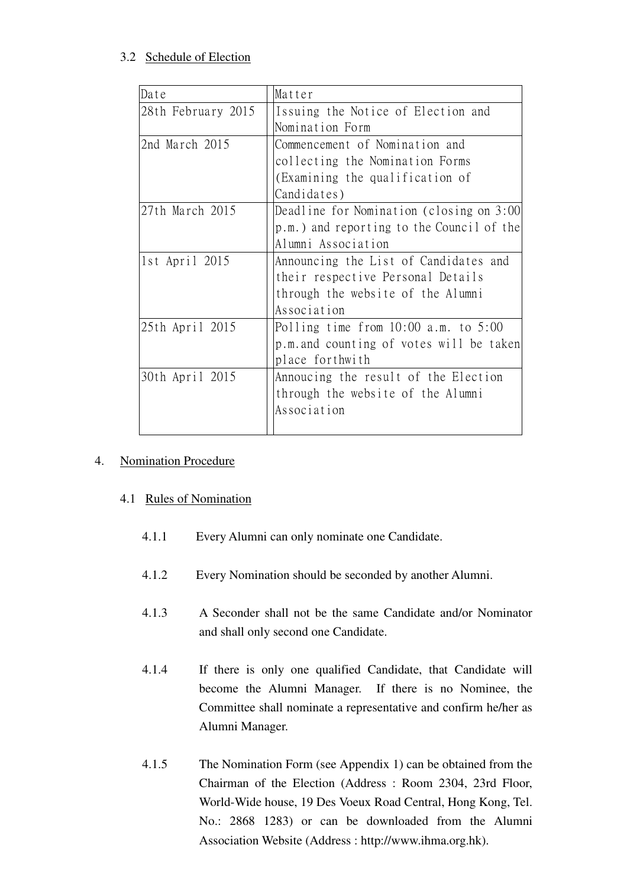## 3.2 Schedule of Election

| Date               | Matter                                    |
|--------------------|-------------------------------------------|
| 28th February 2015 | Issuing the Notice of Election and        |
|                    | Nomination Form                           |
| 2nd March 2015     | Commencement of Nomination and            |
|                    | collecting the Nomination Forms           |
|                    | (Examining the qualification of           |
|                    | Candidates)                               |
| 27th March 2015    | Deadline for Nomination (closing on 3:00  |
|                    | p.m.) and reporting to the Council of the |
|                    | Alumni Association                        |
| 1st April 2015     | Announcing the List of Candidates and     |
|                    | their respective Personal Details         |
|                    | through the website of the Alumni         |
|                    | Association                               |
| 25th April 2015    | Polling time from $10:00$ a.m. to $5:00$  |
|                    | p.m. and counting of votes will be taken  |
|                    | place forthwith                           |
| 30th April 2015    | Annoucing the result of the Election      |
|                    | through the website of the Alumni         |
|                    | Association                               |
|                    |                                           |

## 4. Nomination Procedure

## 4.1 Rules of Nomination

- 4.1.1 Every Alumni can only nominate one Candidate.
- 4.1.2 Every Nomination should be seconded by another Alumni.
- 4.1.3 A Seconder shall not be the same Candidate and/or Nominator and shall only second one Candidate.
- 4.1.4 If there is only one qualified Candidate, that Candidate will become the Alumni Manager. If there is no Nominee, the Committee shall nominate a representative and confirm he/her as Alumni Manager.
- 4.1.5 The Nomination Form (see Appendix 1) can be obtained from the Chairman of the Election (Address : Room 2304, 23rd Floor, World-Wide house, 19 Des Voeux Road Central, Hong Kong, Tel. No.: 2868 1283) or can be downloaded from the Alumni Association Website (Address : http://www.ihma.org.hk).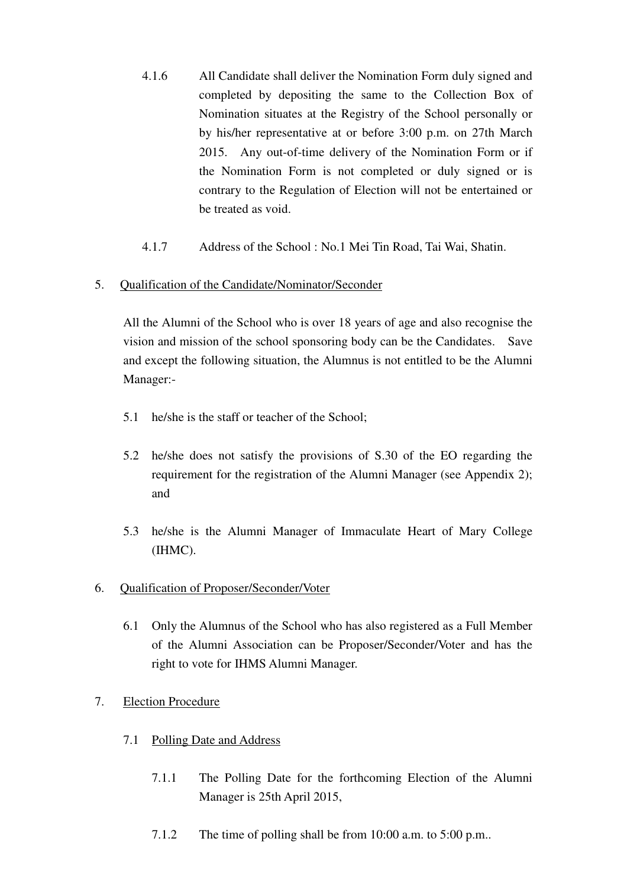- 4.1.6 All Candidate shall deliver the Nomination Form duly signed and completed by depositing the same to the Collection Box of Nomination situates at the Registry of the School personally or by his/her representative at or before 3:00 p.m. on 27th March 2015. Any out-of-time delivery of the Nomination Form or if the Nomination Form is not completed or duly signed or is contrary to the Regulation of Election will not be entertained or be treated as void.
- 4.1.7 Address of the School : No.1 Mei Tin Road, Tai Wai, Shatin.

## 5. Qualification of the Candidate/Nominator/Seconder

All the Alumni of the School who is over 18 years of age and also recognise the vision and mission of the school sponsoring body can be the Candidates. Save and except the following situation, the Alumnus is not entitled to be the Alumni Manager:-

- 5.1 he/she is the staff or teacher of the School;
- 5.2 he/she does not satisfy the provisions of S.30 of the EO regarding the requirement for the registration of the Alumni Manager (see Appendix 2); and
- 5.3 he/she is the Alumni Manager of Immaculate Heart of Mary College (IHMC).
- 6. Qualification of Proposer/Seconder/Voter
	- 6.1 Only the Alumnus of the School who has also registered as a Full Member of the Alumni Association can be Proposer/Seconder/Voter and has the right to vote for IHMS Alumni Manager.
- 7. Election Procedure
	- 7.1 Polling Date and Address
		- 7.1.1 The Polling Date for the forthcoming Election of the Alumni Manager is 25th April 2015,
		- 7.1.2 The time of polling shall be from 10:00 a.m. to 5:00 p.m..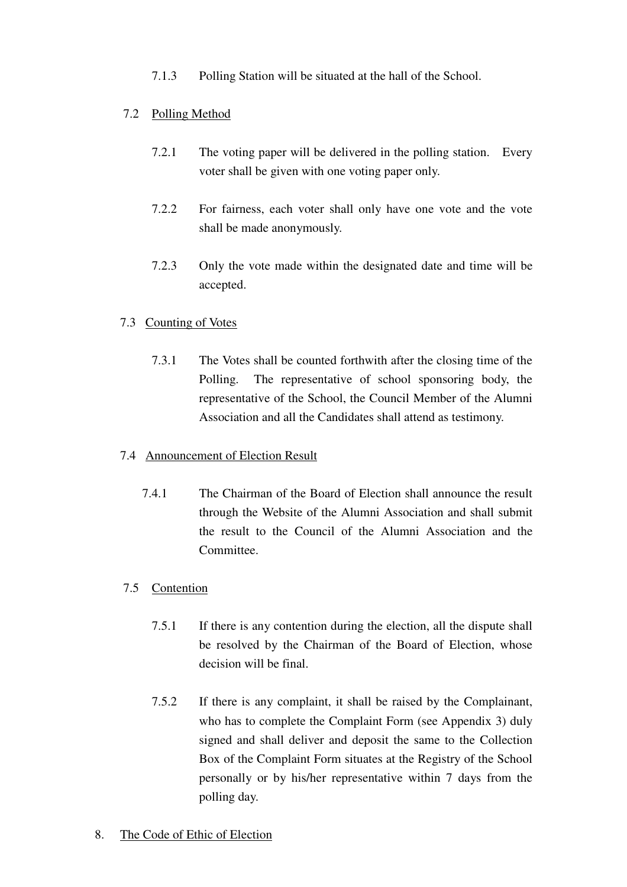7.1.3 Polling Station will be situated at the hall of the School.

## 7.2 Polling Method

- 7.2.1 The voting paper will be delivered in the polling station. Every voter shall be given with one voting paper only.
- 7.2.2 For fairness, each voter shall only have one vote and the vote shall be made anonymously.
- 7.2.3 Only the vote made within the designated date and time will be accepted.

## 7.3 Counting of Votes

7.3.1 The Votes shall be counted forthwith after the closing time of the Polling. The representative of school sponsoring body, the representative of the School, the Council Member of the Alumni Association and all the Candidates shall attend as testimony.

## 7.4 Announcement of Election Result

7.4.1 The Chairman of the Board of Election shall announce the result through the Website of the Alumni Association and shall submit the result to the Council of the Alumni Association and the Committee.

## 7.5 Contention

- 7.5.1 If there is any contention during the election, all the dispute shall be resolved by the Chairman of the Board of Election, whose decision will be final.
- 7.5.2 If there is any complaint, it shall be raised by the Complainant, who has to complete the Complaint Form (see Appendix 3) duly signed and shall deliver and deposit the same to the Collection Box of the Complaint Form situates at the Registry of the School personally or by his/her representative within 7 days from the polling day.

## 8. The Code of Ethic of Election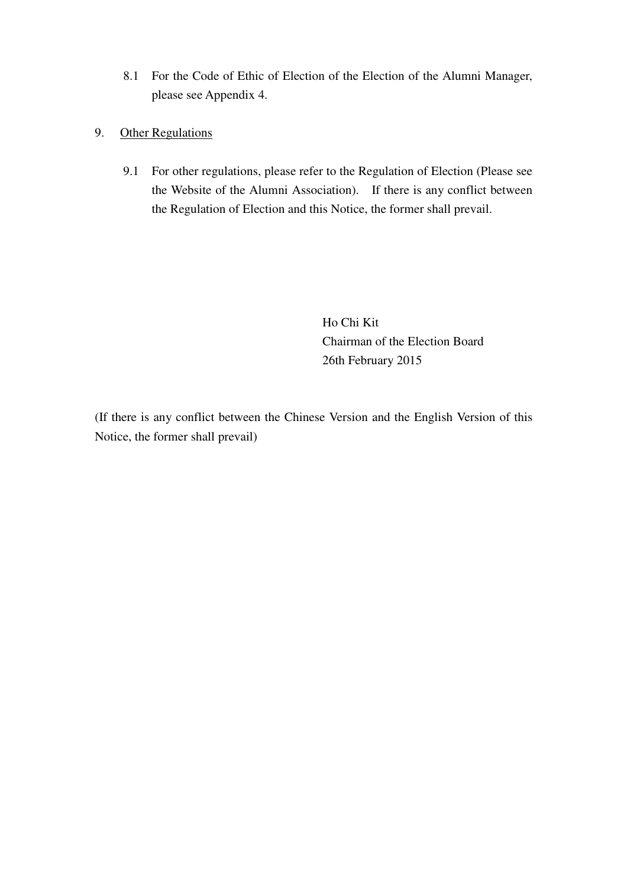- 8.1 For the Code of Ethic of Election of the Election of the Alumni Manager, please see Appendix 4.
- 9. Other Regulations
	- 9.1 For other regulations, please refer to the Regulation of Election (Please see the Website of the Alumni Association). If there is any conflict between the Regulation of Election and this Notice, the former shall prevail.

 Ho Chi Kit Chairman of the Election Board 26th February 2015

(If there is any conflict between the Chinese Version and the English Version of this Notice, the former shall prevail)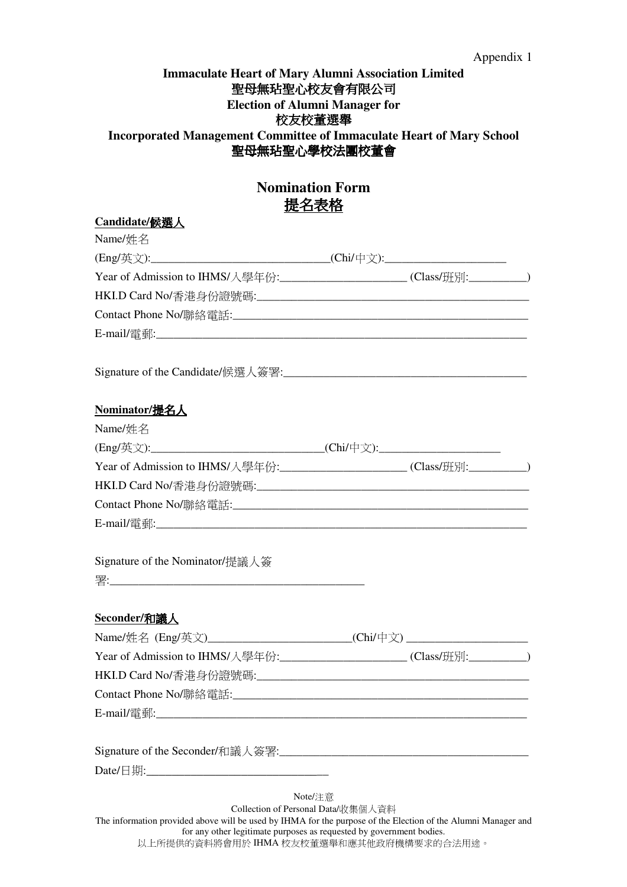#### Appendix 1

## **Immaculate Heart of Mary Alumni Association Limited** 聖母無玷聖心校友會有限公司 **Election of Alumni Manager for**  校友校董選舉 **Incorporated Management Committee of Immaculate Heart of Mary School**  聖母無玷聖心學校法團校董會

## **Nomination Form**  提名表格

#### **Candidate/**候選人

| Name/姓名                                                                          |  |  |
|----------------------------------------------------------------------------------|--|--|
| (Eng/英文):__________________________________(Chi/中文):____________________________ |  |  |
| Year of Admission to IHMS/入學年份:______________________(Class/班別:__________)       |  |  |
|                                                                                  |  |  |
|                                                                                  |  |  |
|                                                                                  |  |  |
|                                                                                  |  |  |
| Nominator/提名人                                                                    |  |  |
| Name/姓名                                                                          |  |  |
| (Eng/英文):_________________________________(Chi/中文):_____________________________ |  |  |
| Year of Admission to IHMS/入學年份:______________________(Class/班別:__________)       |  |  |
|                                                                                  |  |  |
|                                                                                  |  |  |
|                                                                                  |  |  |
| Signature of the Nominator/提議人簽                                                  |  |  |
| Seconder/和議人                                                                     |  |  |
| Name/姓名 (Eng/英文)________________________(Chi/中文)________________________________ |  |  |
| Year of Admission to IHMS/入學年份:______________________(Class/班別:__________)       |  |  |
|                                                                                  |  |  |
|                                                                                  |  |  |
|                                                                                  |  |  |
|                                                                                  |  |  |
|                                                                                  |  |  |

Note/注意 Collection of Personal Data/收集個人資料 The information provided above will be used by IHMA for the purpose of the Election of the Alumni Manager and for any other legitimate purposes as requested by government bodies. 以上所提供的資料將會用於 IHMA 校友校董選舉和應其他政府機構要求的合法用途。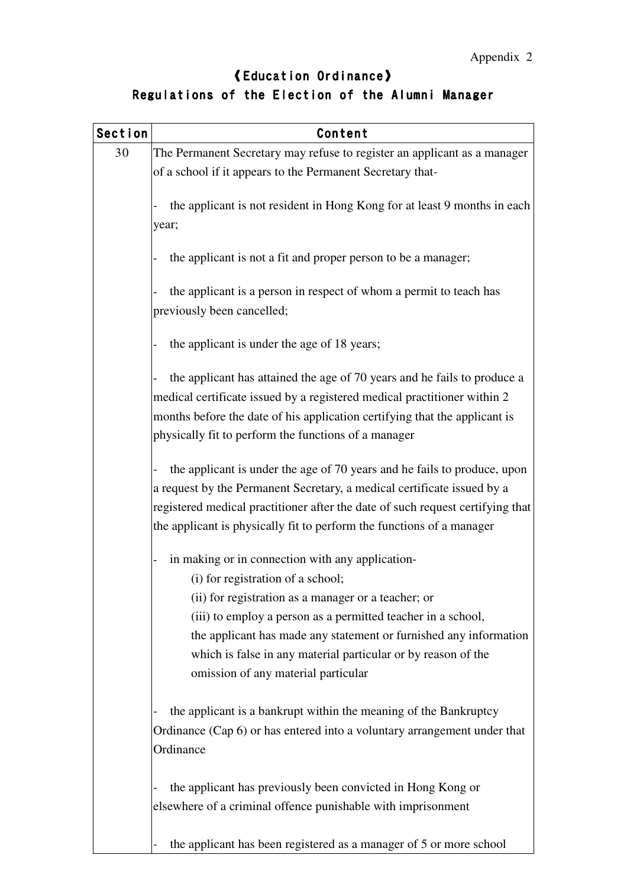## 《 Education Ordinance 》 Regulations of the Election of the Alumni Manager

| Section | Content                                                                                                                                                 |
|---------|---------------------------------------------------------------------------------------------------------------------------------------------------------|
| 30      | The Permanent Secretary may refuse to register an applicant as a manager                                                                                |
|         | of a school if it appears to the Permanent Secretary that-                                                                                              |
|         | the applicant is not resident in Hong Kong for at least 9 months in each                                                                                |
|         | year;                                                                                                                                                   |
|         | the applicant is not a fit and proper person to be a manager;                                                                                           |
|         | the applicant is a person in respect of whom a permit to teach has                                                                                      |
|         | previously been cancelled;                                                                                                                              |
|         | the applicant is under the age of 18 years;                                                                                                             |
|         | the applicant has attained the age of 70 years and he fails to produce a                                                                                |
|         | medical certificate issued by a registered medical practitioner within 2                                                                                |
|         | months before the date of his application certifying that the applicant is                                                                              |
|         | physically fit to perform the functions of a manager                                                                                                    |
|         | the applicant is under the age of 70 years and he fails to produce, upon                                                                                |
|         | a request by the Permanent Secretary, a medical certificate issued by a                                                                                 |
|         | registered medical practitioner after the date of such request certifying that<br>the applicant is physically fit to perform the functions of a manager |
|         | in making or in connection with any application-                                                                                                        |
|         | (i) for registration of a school;                                                                                                                       |
|         | (ii) for registration as a manager or a teacher; or                                                                                                     |
|         | (iii) to employ a person as a permitted teacher in a school,                                                                                            |
|         | the applicant has made any statement or furnished any information                                                                                       |
|         | which is false in any material particular or by reason of the                                                                                           |
|         | omission of any material particular                                                                                                                     |
|         | the applicant is a bankrupt within the meaning of the Bankruptcy                                                                                        |
|         | Ordinance (Cap 6) or has entered into a voluntary arrangement under that<br>Ordinance                                                                   |
|         | the applicant has previously been convicted in Hong Kong or<br>elsewhere of a criminal offence punishable with imprisonment                             |
|         |                                                                                                                                                         |

- the applicant has been registered as a manager of 5 or more school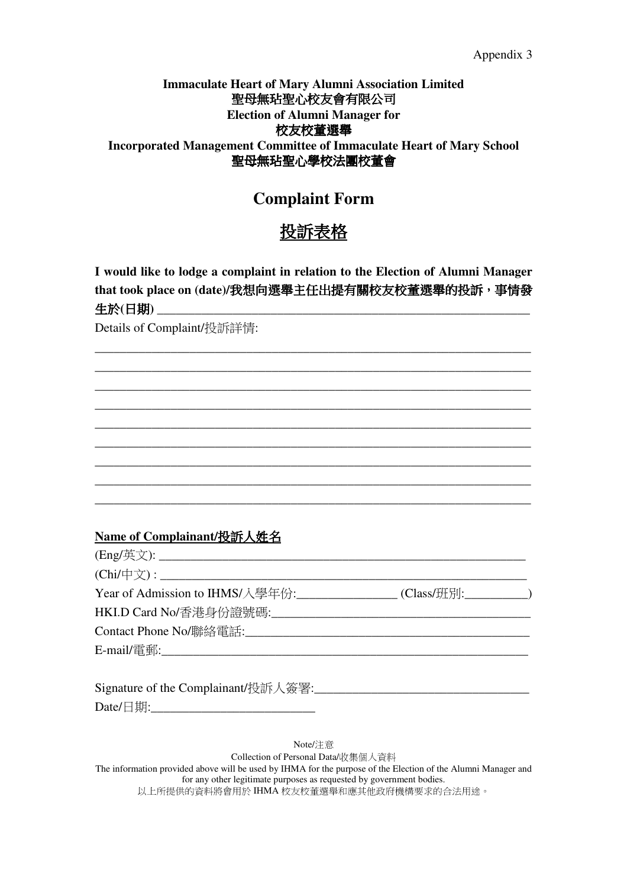#### Appendix 3

## **Immaculate Heart of Mary Alumni Association Limited** 聖母無玷聖心校友會有限公司 **Election of Alumni Manager for**  校友校董選舉 **Incorporated Management Committee of Immaculate Heart of Mary School**  聖母無玷聖心學校法團校董會

## **Complaint Form**

# 投訴表格

**I would like to lodge a complaint in relation to the Election of Alumni Manager that took place on (date)/**我想向選舉主任出提有關校友校董選舉的投訴,事情發 生於(日期)

\_\_\_\_\_\_\_\_\_\_\_\_\_\_\_\_\_\_\_\_\_\_\_\_\_\_\_\_\_\_\_\_\_\_\_\_\_\_\_\_\_\_\_\_\_\_\_\_\_\_\_\_\_\_\_\_\_\_\_\_\_\_\_\_\_\_\_\_\_ \_\_\_\_\_\_\_\_\_\_\_\_\_\_\_\_\_\_\_\_\_\_\_\_\_\_\_\_\_\_\_\_\_\_\_\_\_\_\_\_\_\_\_\_\_\_\_\_\_\_\_\_\_\_\_\_\_\_\_\_\_\_\_\_\_\_\_\_\_ \_\_\_\_\_\_\_\_\_\_\_\_\_\_\_\_\_\_\_\_\_\_\_\_\_\_\_\_\_\_\_\_\_\_\_\_\_\_\_\_\_\_\_\_\_\_\_\_\_\_\_\_\_\_\_\_\_\_\_\_\_\_\_\_\_\_\_\_\_ \_\_\_\_\_\_\_\_\_\_\_\_\_\_\_\_\_\_\_\_\_\_\_\_\_\_\_\_\_\_\_\_\_\_\_\_\_\_\_\_\_\_\_\_\_\_\_\_\_\_\_\_\_\_\_\_\_\_\_\_\_\_\_\_\_\_\_\_\_ \_\_\_\_\_\_\_\_\_\_\_\_\_\_\_\_\_\_\_\_\_\_\_\_\_\_\_\_\_\_\_\_\_\_\_\_\_\_\_\_\_\_\_\_\_\_\_\_\_\_\_\_\_\_\_\_\_\_\_\_\_\_\_\_\_\_\_\_\_ \_\_\_\_\_\_\_\_\_\_\_\_\_\_\_\_\_\_\_\_\_\_\_\_\_\_\_\_\_\_\_\_\_\_\_\_\_\_\_\_\_\_\_\_\_\_\_\_\_\_\_\_\_\_\_\_\_\_\_\_\_\_\_\_\_\_\_\_\_ \_\_\_\_\_\_\_\_\_\_\_\_\_\_\_\_\_\_\_\_\_\_\_\_\_\_\_\_\_\_\_\_\_\_\_\_\_\_\_\_\_\_\_\_\_\_\_\_\_\_\_\_\_\_\_\_\_\_\_\_\_\_\_\_\_\_\_\_\_ \_\_\_\_\_\_\_\_\_\_\_\_\_\_\_\_\_\_\_\_\_\_\_\_\_\_\_\_\_\_\_\_\_\_\_\_\_\_\_\_\_\_\_\_\_\_\_\_\_\_\_\_\_\_\_\_\_\_\_\_\_\_\_\_\_\_\_\_\_ \_\_\_\_\_\_\_\_\_\_\_\_\_\_\_\_\_\_\_\_\_\_\_\_\_\_\_\_\_\_\_\_\_\_\_\_\_\_\_\_\_\_\_\_\_\_\_\_\_\_\_\_\_\_\_\_\_\_\_\_\_\_\_\_\_\_\_\_\_

Details of Complaint/投訴詳情:

## **Name of Complainant/**投訴人姓名

| Year of Admission to IHMS/入學年份:_______________(Class/班別:___________) |  |
|----------------------------------------------------------------------|--|
|                                                                      |  |
|                                                                      |  |
|                                                                      |  |
|                                                                      |  |

| Signature of the Complainant/投訴人簽署:_ |  |
|--------------------------------------|--|
| Date/日期:                             |  |

Note/注意 Collection of Personal Data/收集個人資料 The information provided above will be used by IHMA for the purpose of the Election of the Alumni Manager and for any other legitimate purposes as requested by government bodies. 以上所提供的資料將會用於 IHMA 校友校董選舉和應其他政府機構要求的合法用途。